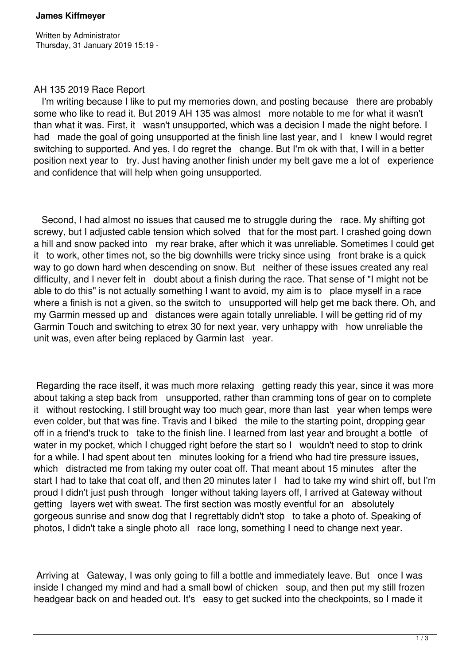## AH 135 2019 Race Report

 I'm writing because I like to put my memories down, and posting because there are probably some who like to read it. But 2019 AH 135 was almost more notable to me for what it wasn't than what it was. First, it wasn't unsupported, which was a decision I made the night before. I had made the goal of going unsupported at the finish line last year, and I knew I would regret switching to supported. And yes, I do regret the change. But I'm ok with that, I will in a better position next year to try. Just having another finish under my belt gave me a lot of experience and confidence that will help when going unsupported.

 Second, I had almost no issues that caused me to struggle during the race. My shifting got screwy, but I adjusted cable tension which solved that for the most part. I crashed going down a hill and snow packed into my rear brake, after which it was unreliable. Sometimes I could get it to work, other times not, so the big downhills were tricky since using front brake is a quick way to go down hard when descending on snow. But neither of these issues created any real difficulty, and I never felt in doubt about a finish during the race. That sense of "I might not be able to do this" is not actually something I want to avoid, my aim is to place myself in a race where a finish is not a given, so the switch to unsupported will help get me back there. Oh, and my Garmin messed up and distances were again totally unreliable. I will be getting rid of my Garmin Touch and switching to etrex 30 for next year, very unhappy with how unreliable the unit was, even after being replaced by Garmin last year.

 Regarding the race itself, it was much more relaxing getting ready this year, since it was more about taking a step back from unsupported, rather than cramming tons of gear on to complete it without restocking. I still brought way too much gear, more than last year when temps were even colder, but that was fine. Travis and I biked the mile to the starting point, dropping gear off in a friend's truck to take to the finish line. I learned from last year and brought a bottle of water in my pocket, which I chugged right before the start so I wouldn't need to stop to drink for a while. I had spent about ten minutes looking for a friend who had tire pressure issues, which distracted me from taking my outer coat off. That meant about 15 minutes after the start I had to take that coat off, and then 20 minutes later I had to take my wind shirt off, but I'm proud I didn't just push through longer without taking layers off, I arrived at Gateway without getting layers wet with sweat. The first section was mostly eventful for an absolutely gorgeous sunrise and snow dog that I regrettably didn't stop to take a photo of. Speaking of photos, I didn't take a single photo all race long, something I need to change next year.

Arriving at Gateway, I was only going to fill a bottle and immediately leave. But once I was inside I changed my mind and had a small bowl of chicken soup, and then put my still frozen headgear back on and headed out. It's easy to get sucked into the checkpoints, so I made it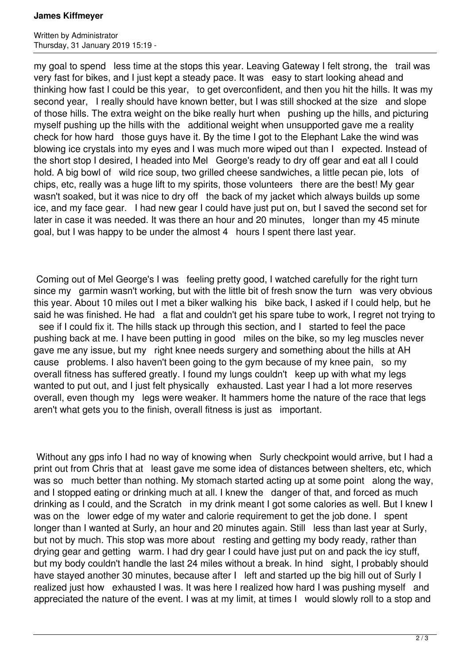## **James Kiffmeyer**

Written by Administrator Thursday, 31 January 2019 15:19 -

my goal to spend less time at the stops this year. Leaving Gateway I felt strong, the trail was very fast for bikes, and I just kept a steady pace. It was easy to start looking ahead and thinking how fast I could be this year, to get overconfident, and then you hit the hills. It was my second year, I really should have known better, but I was still shocked at the size and slope of those hills. The extra weight on the bike really hurt when pushing up the hills, and picturing myself pushing up the hills with the additional weight when unsupported gave me a reality check for how hard those guys have it. By the time I got to the Elephant Lake the wind was blowing ice crystals into my eyes and I was much more wiped out than I expected. Instead of the short stop I desired, I headed into Mel George's ready to dry off gear and eat all I could hold. A big bowl of wild rice soup, two grilled cheese sandwiches, a little pecan pie, lots of chips, etc, really was a huge lift to my spirits, those volunteers there are the best! My gear wasn't soaked, but it was nice to dry off the back of my jacket which always builds up some ice, and my face gear. I had new gear I could have just put on, but I saved the second set for later in case it was needed. It was there an hour and 20 minutes, longer than my 45 minute goal, but I was happy to be under the almost 4 hours I spent there last year.

 Coming out of Mel George's I was feeling pretty good, I watched carefully for the right turn since my garmin wasn't working, but with the little bit of fresh snow the turn was very obvious this year. About 10 miles out I met a biker walking his bike back, I asked if I could help, but he said he was finished. He had a flat and couldn't get his spare tube to work, I regret not trying to see if I could fix it. The hills stack up through this section, and I started to feel the pace pushing back at me. I have been putting in good miles on the bike, so my leg muscles never gave me any issue, but my right knee needs surgery and something about the hills at AH cause problems. I also haven't been going to the gym because of my knee pain, so my overall fitness has suffered greatly. I found my lungs couldn't keep up with what my legs wanted to put out, and I just felt physically exhausted. Last year I had a lot more reserves overall, even though my legs were weaker. It hammers home the nature of the race that legs aren't what gets you to the finish, overall fitness is just as important.

Without any gps info I had no way of knowing when Surly checkpoint would arrive, but I had a print out from Chris that at least gave me some idea of distances between shelters, etc, which was so much better than nothing. My stomach started acting up at some point along the way, and I stopped eating or drinking much at all. I knew the danger of that, and forced as much drinking as I could, and the Scratch in my drink meant I got some calories as well. But I knew I was on the lower edge of my water and calorie requirement to get the job done. I spent longer than I wanted at Surly, an hour and 20 minutes again. Still less than last year at Surly, but not by much. This stop was more about resting and getting my body ready, rather than drying gear and getting warm. I had dry gear I could have just put on and pack the icy stuff, but my body couldn't handle the last 24 miles without a break. In hind sight, I probably should have stayed another 30 minutes, because after I left and started up the big hill out of Surly I realized just how exhausted I was. It was here I realized how hard I was pushing myself and appreciated the nature of the event. I was at my limit, at times I would slowly roll to a stop and